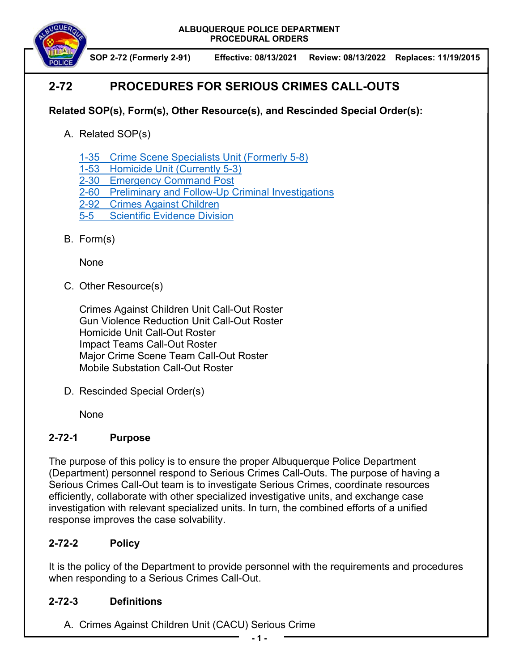**ALBUQUERQUE POLICE DEPARTMENT PROCEDURAL ORDERS** 



**SOP 2-72 (Formerly 2-91) Effective: 08/13/2021 Review: 08/13/2022 Replaces: 11/19/2015** 

# **2-72 PROCEDURES FOR SERIOUS CRIMES CALL-OUTS**

### **Related SOP(s), Form(s), Other Resource(s), and Rescinded Special Order(s):**

- A. Related SOP(s)
	- 1-35 Crime Scene Specialists Unit (Formerly 5-8)
	- 1-53 Homicide Unit (Currently 5-3)
	- 2-30 Emergency Command Post
	- 2-60 Preliminary and Follow-Up Criminal Investigations
	- 2-92 Crimes Against Children
	- 5-5 Scientific Evidence Division
- B. Form(s)

None

C. Other Resource(s)

Crimes Against Children Unit Call-Out Roster Gun Violence Reduction Unit Call-Out Roster Homicide Unit Call-Out Roster Impact Teams Call-Out Roster Major Crime Scene Team Call-Out Roster Mobile Substation Call-Out Roster

D. Rescinded Special Order(s)

None

#### **2-72-1 Purpose**

The purpose of this policy is to ensure the proper Albuquerque Police Department (Department) personnel respond to Serious Crimes Call-Outs. The purpose of having a Serious Crimes Call-Out team is to investigate Serious Crimes, coordinate resources efficiently, collaborate with other specialized investigative units, and exchange case investigation with relevant specialized units. In turn, the combined efforts of a unified response improves the case solvability.

## **2-72-2 Policy**

It is the policy of the Department to provide personnel with the requirements and procedures when responding to a Serious Crimes Call-Out.

#### **2-72-3 Definitions**

A. Crimes Against Children Unit (CACU) Serious Crime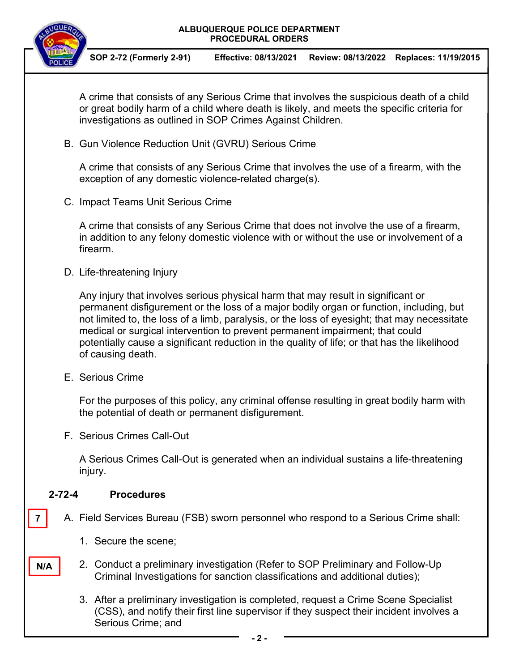#### **ALBUQUERQUE POLICE DEPARTMENT PROCEDURAL ORDERS**



**SOP 2-72 (Formerly 2-91) Effective: 08/13/2021 Review: 08/13/2022 Replaces: 11/19/2015** 

A crime that consists of any Serious Crime that involves the suspicious death of a child or great bodily harm of a child where death is likely, and meets the specific criteria for investigations as outlined in SOP Crimes Against Children.

B. Gun Violence Reduction Unit (GVRU) Serious Crime

A crime that consists of any Serious Crime that involves the use of a firearm, with the exception of any domestic violence-related charge(s).

C. Impact Teams Unit Serious Crime

A crime that consists of any Serious Crime that does not involve the use of a firearm, in addition to any felony domestic violence with or without the use or involvement of a firearm.

D. Life-threatening Injury

Any injury that involves serious physical harm that may result in significant or permanent disfigurement or the loss of a major bodily organ or function, including, but not limited to, the loss of a limb, paralysis, or the loss of eyesight; that may necessitate medical or surgical intervention to prevent permanent impairment; that could potentially cause a significant reduction in the quality of life; or that has the likelihood of causing death.

E. Serious Crime

For the purposes of this policy, any criminal offense resulting in great bodily harm with the potential of death or permanent disfigurement.

F. Serious Crimes Call-Out

A Serious Crimes Call-Out is generated when an individual sustains a life-threatening injury.

#### **2-72-4 Procedures**

**7** 

**N/A** 

- A. Field Services Bureau (FSB) sworn personnel who respond to a Serious Crime shall:
	- 1. Secure the scene;
	- 2. Conduct a preliminary investigation (Refer to SOP Preliminary and Follow-Up Criminal Investigations for sanction classifications and additional duties);
		- 3. After a preliminary investigation is completed, request a Crime Scene Specialist (CSS), and notify their first line supervisor if they suspect their incident involves a Serious Crime; and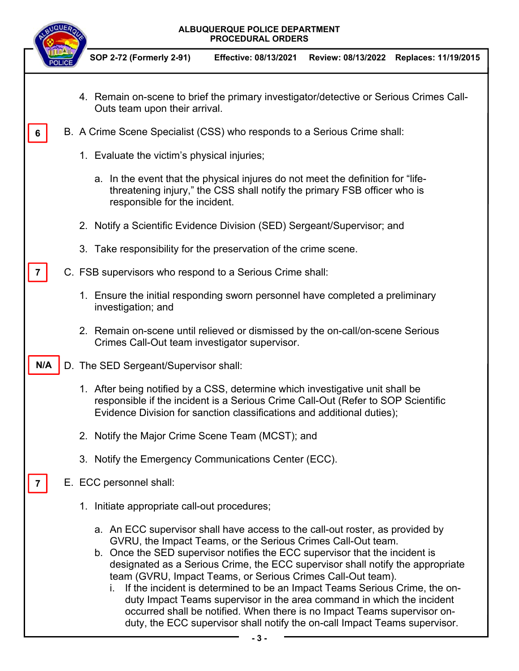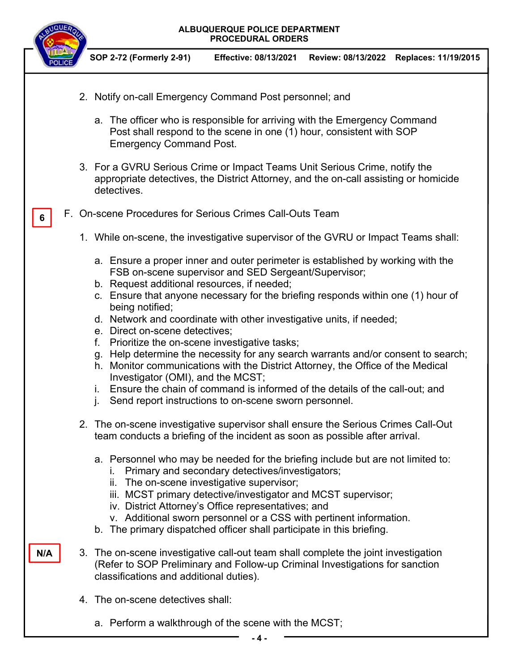